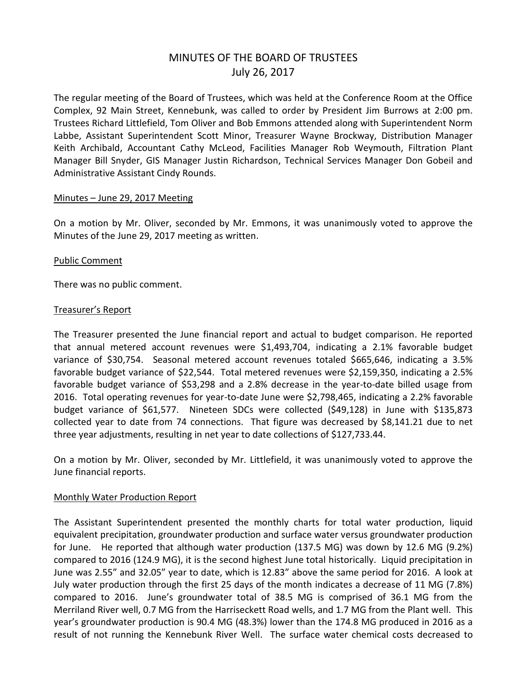# MINUTES OF THE BOARD OF TRUSTEES July 26, 2017

The regular meeting of the Board of Trustees, which was held at the Conference Room at the Office Complex, 92 Main Street, Kennebunk, was called to order by President Jim Burrows at 2:00 pm. Trustees Richard Littlefield, Tom Oliver and Bob Emmons attended along with Superintendent Norm Labbe, Assistant Superintendent Scott Minor, Treasurer Wayne Brockway, Distribution Manager Keith Archibald, Accountant Cathy McLeod, Facilities Manager Rob Weymouth, Filtration Plant Manager Bill Snyder, GIS Manager Justin Richardson, Technical Services Manager Don Gobeil and Administrative Assistant Cindy Rounds.

## Minutes – June 29, 2017 Meeting

On a motion by Mr. Oliver, seconded by Mr. Emmons, it was unanimously voted to approve the Minutes of the June 29, 2017 meeting as written.

# Public Comment

There was no public comment.

## Treasurer's Report

The Treasurer presented the June financial report and actual to budget comparison. He reported that annual metered account revenues were \$1,493,704, indicating a 2.1% favorable budget variance of \$30,754. Seasonal metered account revenues totaled \$665,646, indicating a 3.5% favorable budget variance of \$22,544. Total metered revenues were \$2,159,350, indicating a 2.5% favorable budget variance of \$53,298 and a 2.8% decrease in the year-to-date billed usage from 2016. Total operating revenues for year-to-date June were \$2,798,465, indicating a 2.2% favorable budget variance of \$61,577. Nineteen SDCs were collected (\$49,128) in June with \$135,873 collected year to date from 74 connections. That figure was decreased by \$8,141.21 due to net three year adjustments, resulting in net year to date collections of \$127,733.44.

On a motion by Mr. Oliver, seconded by Mr. Littlefield, it was unanimously voted to approve the June financial reports.

# Monthly Water Production Report

The Assistant Superintendent presented the monthly charts for total water production, liquid equivalent precipitation, groundwater production and surface water versus groundwater production for June. He reported that although water production (137.5 MG) was down by 12.6 MG (9.2%) compared to 2016 (124.9 MG), it is the second highest June total historically. Liquid precipitation in June was 2.55" and 32.05" year to date, which is 12.83" above the same period for 2016. A look at July water production through the first 25 days of the month indicates a decrease of 11 MG (7.8%) compared to 2016. June's groundwater total of 38.5 MG is comprised of 36.1 MG from the Merriland River well, 0.7 MG from the Harriseckett Road wells, and 1.7 MG from the Plant well. This year's groundwater production is 90.4 MG (48.3%) lower than the 174.8 MG produced in 2016 as a result of not running the Kennebunk River Well. The surface water chemical costs decreased to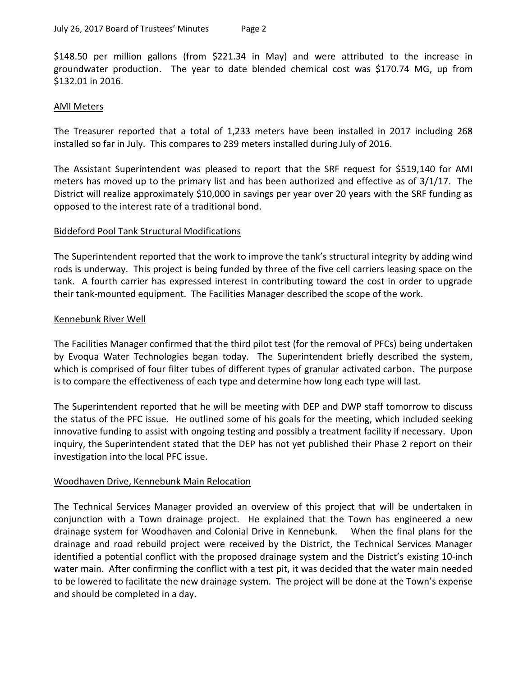\$148.50 per million gallons (from \$221.34 in May) and were attributed to the increase in groundwater production. The year to date blended chemical cost was \$170.74 MG, up from \$132.01 in 2016.

## AMI Meters

The Treasurer reported that a total of 1,233 meters have been installed in 2017 including 268 installed so far in July. This compares to 239 meters installed during July of 2016.

The Assistant Superintendent was pleased to report that the SRF request for \$519,140 for AMI meters has moved up to the primary list and has been authorized and effective as of 3/1/17. The District will realize approximately \$10,000 in savings per year over 20 years with the SRF funding as opposed to the interest rate of a traditional bond.

## Biddeford Pool Tank Structural Modifications

The Superintendent reported that the work to improve the tank's structural integrity by adding wind rods is underway. This project is being funded by three of the five cell carriers leasing space on the tank. A fourth carrier has expressed interest in contributing toward the cost in order to upgrade their tank-mounted equipment. The Facilities Manager described the scope of the work.

## Kennebunk River Well

The Facilities Manager confirmed that the third pilot test (for the removal of PFCs) being undertaken by Evoqua Water Technologies began today. The Superintendent briefly described the system, which is comprised of four filter tubes of different types of granular activated carbon. The purpose is to compare the effectiveness of each type and determine how long each type will last.

The Superintendent reported that he will be meeting with DEP and DWP staff tomorrow to discuss the status of the PFC issue. He outlined some of his goals for the meeting, which included seeking innovative funding to assist with ongoing testing and possibly a treatment facility if necessary. Upon inquiry, the Superintendent stated that the DEP has not yet published their Phase 2 report on their investigation into the local PFC issue.

# Woodhaven Drive, Kennebunk Main Relocation

The Technical Services Manager provided an overview of this project that will be undertaken in conjunction with a Town drainage project. He explained that the Town has engineered a new drainage system for Woodhaven and Colonial Drive in Kennebunk. When the final plans for the drainage and road rebuild project were received by the District, the Technical Services Manager identified a potential conflict with the proposed drainage system and the District's existing 10-inch water main. After confirming the conflict with a test pit, it was decided that the water main needed to be lowered to facilitate the new drainage system. The project will be done at the Town's expense and should be completed in a day.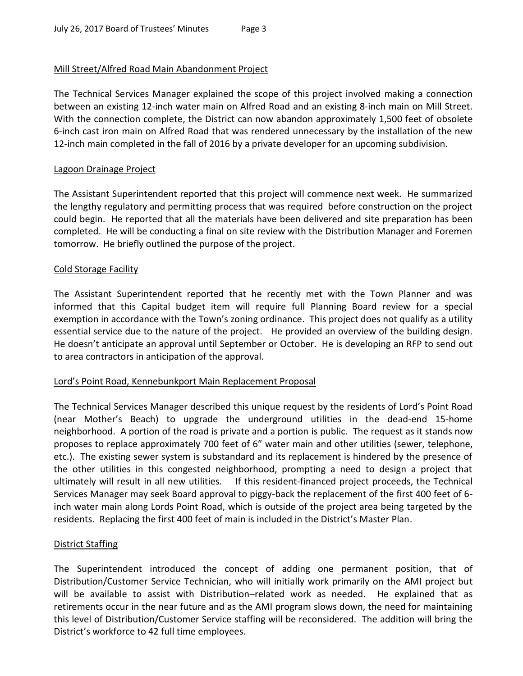# Mill Street/Alfred Road Main Abandonment Project

The Technical Services Manager explained the scope of this project involved making a connection between an existing 12-inch water main on Alfred Road and an existing 8-inch main on Mill Street. With the connection complete, the District can now abandon approximately 1,500 feet of obsolete 6-inch cast iron main on Alfred Road that was rendered unnecessary by the installation of the new 12-inch main completed in the fall of 2016 by a private developer for an upcoming subdivision.

# Lagoon Drainage Project

The Assistant Superintendent reported that this project will commence next week. He summarized the lengthy regulatory and permitting process that was required before construction on the project could begin. He reported that all the materials have been delivered and site preparation has been completed. He will be conducting a final on site review with the Distribution Manager and Foremen tomorrow. He briefly outlined the purpose of the project.

# Cold Storage Facility

The Assistant Superintendent reported that he recently met with the Town Planner and was informed that this Capital budget item will require full Planning Board review for a special exemption in accordance with the Town's zoning ordinance. This project does not qualify as a utility essential service due to the nature of the project. He provided an overview of the building design. He doesn't anticipate an approval until September or October. He is developing an RFP to send out to area contractors in anticipation of the approval.

# Lord's Point Road, Kennebunkport Main Replacement Proposal

The Technical Services Manager described this unique request by the residents of Lord's Point Road (near Mother's Beach) to upgrade the underground utilities in the dead-end 15-home neighborhood. A portion of the road is private and a portion is public. The request as it stands now proposes to replace approximately 700 feet of 6" water main and other utilities (sewer, telephone, etc.). The existing sewer system is substandard and its replacement is hindered by the presence of the other utilities in this congested neighborhood, prompting a need to design a project that ultimately will result in all new utilities. If this resident-financed project proceeds, the Technical Services Manager may seek Board approval to piggy-back the replacement of the first 400 feet of 6 inch water main along Lords Point Road, which is outside of the project area being targeted by the residents. Replacing the first 400 feet of main is included in the District's Master Plan.

# District Staffing

The Superintendent introduced the concept of adding one permanent position, that of Distribution/Customer Service Technician, who will initially work primarily on the AMI project but will be available to assist with Distribution–related work as needed. He explained that as retirements occur in the near future and as the AMI program slows down, the need for maintaining this level of Distribution/Customer Service staffing will be reconsidered. The addition will bring the District's workforce to 42 full time employees.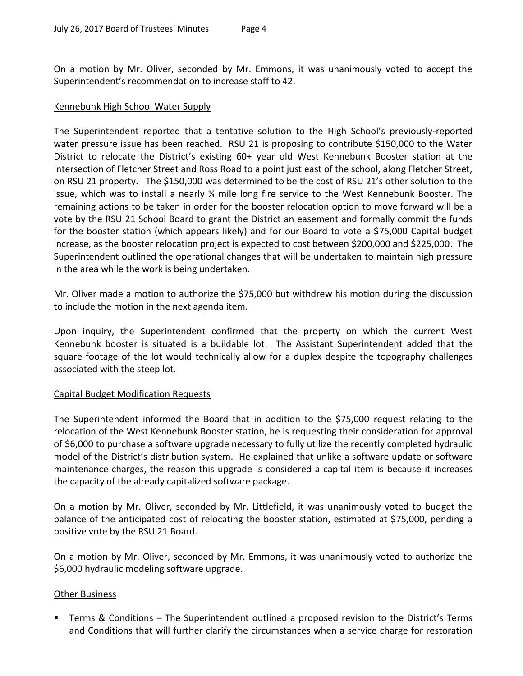On a motion by Mr. Oliver, seconded by Mr. Emmons, it was unanimously voted to accept the Superintendent's recommendation to increase staff to 42.

## Kennebunk High School Water Supply

The Superintendent reported that a tentative solution to the High School's previously-reported water pressure issue has been reached. RSU 21 is proposing to contribute \$150,000 to the Water District to relocate the District's existing 60+ year old West Kennebunk Booster station at the intersection of Fletcher Street and Ross Road to a point just east of the school, along Fletcher Street, on RSU 21 property. The \$150,000 was determined to be the cost of RSU 21's other solution to the issue, which was to install a nearly ¼ mile long fire service to the West Kennebunk Booster. The remaining actions to be taken in order for the booster relocation option to move forward will be a vote by the RSU 21 School Board to grant the District an easement and formally commit the funds for the booster station (which appears likely) and for our Board to vote a \$75,000 Capital budget increase, as the booster relocation project is expected to cost between \$200,000 and \$225,000. The Superintendent outlined the operational changes that will be undertaken to maintain high pressure in the area while the work is being undertaken.

Mr. Oliver made a motion to authorize the \$75,000 but withdrew his motion during the discussion to include the motion in the next agenda item.

Upon inquiry, the Superintendent confirmed that the property on which the current West Kennebunk booster is situated is a buildable lot. The Assistant Superintendent added that the square footage of the lot would technically allow for a duplex despite the topography challenges associated with the steep lot.

# Capital Budget Modification Requests

The Superintendent informed the Board that in addition to the \$75,000 request relating to the relocation of the West Kennebunk Booster station, he is requesting their consideration for approval of \$6,000 to purchase a software upgrade necessary to fully utilize the recently completed hydraulic model of the District's distribution system. He explained that unlike a software update or software maintenance charges, the reason this upgrade is considered a capital item is because it increases the capacity of the already capitalized software package.

On a motion by Mr. Oliver, seconded by Mr. Littlefield, it was unanimously voted to budget the balance of the anticipated cost of relocating the booster station, estimated at \$75,000, pending a positive vote by the RSU 21 Board.

On a motion by Mr. Oliver, seconded by Mr. Emmons, it was unanimously voted to authorize the \$6,000 hydraulic modeling software upgrade.

# Other Business

 Terms & Conditions – The Superintendent outlined a proposed revision to the District's Terms and Conditions that will further clarify the circumstances when a service charge for restoration